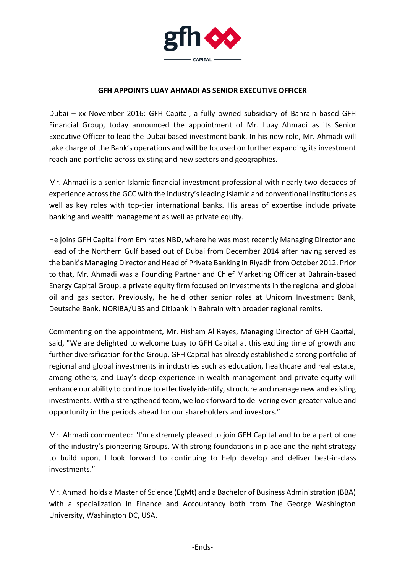

## **GFH APPOINTS LUAY AHMADI AS SENIOR EXECUTIVE OFFICER**

Dubai – xx November 2016: GFH Capital, a fully owned subsidiary of Bahrain based GFH Financial Group, today announced the appointment of Mr. Luay Ahmadi as its Senior Executive Officer to lead the Dubai based investment bank. In his new role, Mr. Ahmadi will take charge of the Bank's operations and will be focused on further expanding its investment reach and portfolio across existing and new sectors and geographies.

Mr. Ahmadi is a senior Islamic financial investment professional with nearly two decades of experience across the GCC with the industry's leading Islamic and conventional institutions as well as key roles with top-tier international banks. His areas of expertise include private banking and wealth management as well as private equity.

He joins GFH Capital from Emirates NBD, where he was most recently Managing Director and Head of the Northern Gulf based out of Dubai from December 2014 after having served as the bank's Managing Director and Head of Private Banking in Riyadh from October 2012. Prior to that, Mr. Ahmadi was a Founding Partner and Chief Marketing Officer at Bahrain-based Energy Capital Group, a private equity firm focused on investments in the regional and global oil and gas sector. Previously, he held other senior roles at Unicorn Investment Bank, Deutsche Bank, NORIBA/UBS and Citibank in Bahrain with broader regional remits.

Commenting on the appointment, Mr. Hisham Al Rayes, Managing Director of GFH Capital, said, "We are delighted to welcome Luay to GFH Capital at this exciting time of growth and further diversification for the Group. GFH Capital has already established a strong portfolio of regional and global investments in industries such as education, healthcare and real estate, among others, and Luay's deep experience in wealth management and private equity will enhance our ability to continue to effectively identify, structure and manage new and existing investments. With a strengthened team, we look forward to delivering even greater value and opportunity in the periods ahead for our shareholders and investors."

Mr. Ahmadi commented: "I'm extremely pleased to join GFH Capital and to be a part of one of the industry's pioneering Groups. With strong foundations in place and the right strategy to build upon, I look forward to continuing to help develop and deliver best-in-class investments."

Mr. Ahmadi holds a Master of Science (EgMt) and a Bachelor of Business Administration (BBA) with a specialization in Finance and Accountancy both from The George Washington University, Washington DC, USA.